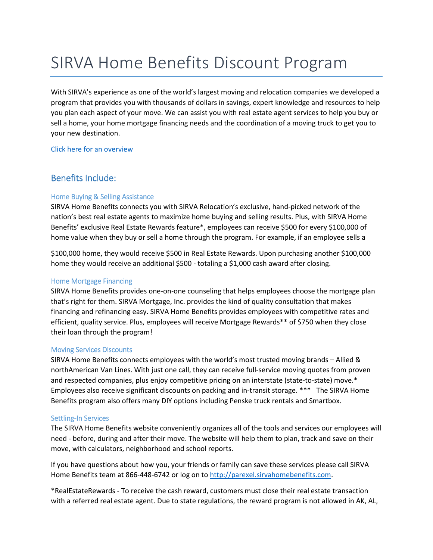# SIRVA Home Benefits Discount Program

With SIRVA's experience as one of the world's largest moving and relocation companies we developed a program that provides you with thousands of dollars in savings, expert knowledge and resources to help you plan each aspect of your move. We can assist you with real estate agent services to help you buy or sell a home, your home mortgage financing needs and the coordination of a moving truck to get you to your new destination.

[Click here for an overview](http://p-med.pxl.int/p-med/livelink.exe/open/80742921)

## Benefits Include:

### Home Buying & Selling Assistance

SIRVA Home Benefits connects you with SIRVA Relocation's exclusive, hand-picked network of the nation's best real estate agents to maximize home buying and selling results. Plus, with SIRVA Home Benefits' exclusive Real Estate Rewards feature\*, employees can receive \$500 for every \$100,000 of home value when they buy or sell a home through the program. For example, if an employee sells a

\$100,000 home, they would receive \$500 in Real Estate Rewards. Upon purchasing another \$100,000 home they would receive an additional \$500 - totaling a \$1,000 cash award after closing.

#### Home Mortgage Financing

SIRVA Home Benefits provides one-on-one counseling that helps employees choose the mortgage plan that's right for them. SIRVA Mortgage, Inc. provides the kind of quality consultation that makes financing and refinancing easy. SIRVA Home Benefits provides employees with competitive rates and efficient, quality service. Plus, employees will receive Mortgage Rewards\*\* of \$750 when they close their loan through the program!

#### Moving Services Discounts

SIRVA Home Benefits connects employees with the world's most trusted moving brands – Allied & northAmerican Van Lines. With just one call, they can receive full-service moving quotes from proven and respected companies, plus enjoy competitive pricing on an interstate (state-to-state) move.\* Employees also receive significant discounts on packing and in-transit storage. \*\*\* The SIRVA Home Benefits program also offers many DIY options including Penske truck rentals and Smartbox.

#### Settling-In Services

The SIRVA Home Benefits website conveniently organizes all of the tools and services our employees will need - before, during and after their move. The website will help them to plan, track and save on their move, with calculators, neighborhood and school reports.

If you have questions about how you, your friends or family can save these services please call SIRVA Home Benefits team at 866-448-6742 or log on to [http://parexel.sirvahomebenefits.com](http://parexel.sirvahomebenefits.com/).

\*RealEstateRewards - To receive the cash reward, customers must close their real estate transaction with a referred real estate agent. Due to state regulations, the reward program is not allowed in AK, AL,